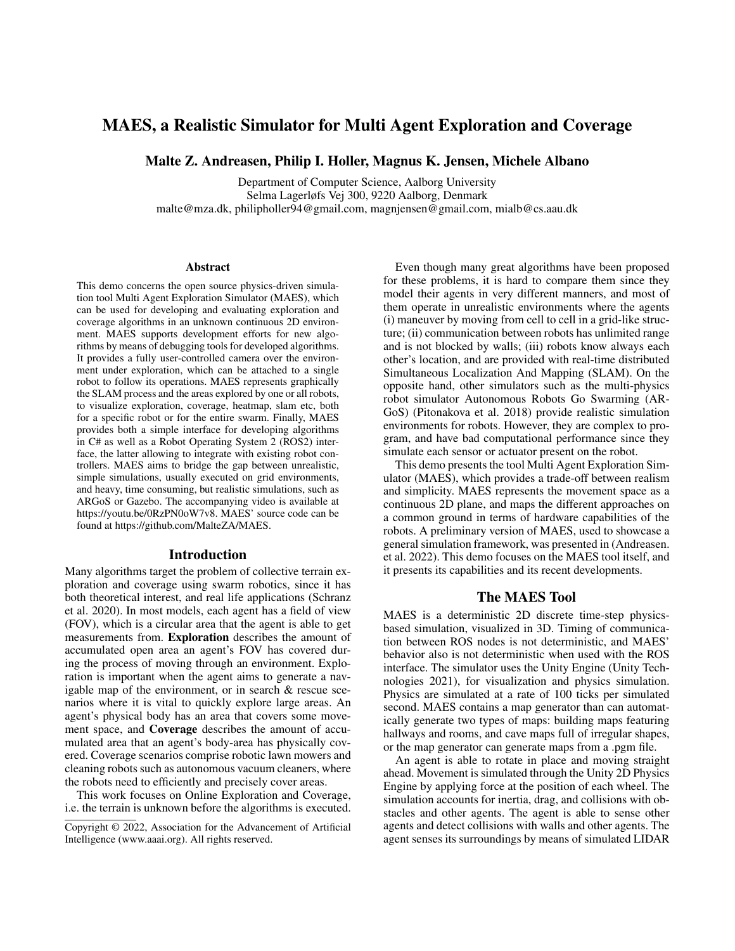# MAES, a Realistic Simulator for Multi Agent Exploration and Coverage

Malte Z. Andreasen, Philip I. Holler, Magnus K. Jensen, Michele Albano

Department of Computer Science, Aalborg University Selma Lagerløfs Vej 300, 9220 Aalborg, Denmark malte@mza.dk, philipholler94@gmail.com, magnjensen@gmail.com, mialb@cs.aau.dk

#### Abstract

This demo concerns the open source physics-driven simulation tool Multi Agent Exploration Simulator (MAES), which can be used for developing and evaluating exploration and coverage algorithms in an unknown continuous 2D environment. MAES supports development efforts for new algorithms by means of debugging tools for developed algorithms. It provides a fully user-controlled camera over the environment under exploration, which can be attached to a single robot to follow its operations. MAES represents graphically the SLAM process and the areas explored by one or all robots, to visualize exploration, coverage, heatmap, slam etc, both for a specific robot or for the entire swarm. Finally, MAES provides both a simple interface for developing algorithms in C# as well as a Robot Operating System 2 (ROS2) interface, the latter allowing to integrate with existing robot controllers. MAES aims to bridge the gap between unrealistic, simple simulations, usually executed on grid environments, and heavy, time consuming, but realistic simulations, such as ARGoS or Gazebo. The accompanying video is available at https://youtu.be/0RzPN0oW7v8. MAES' source code can be found at https://github.com/MalteZA/MAES.

#### Introduction

Many algorithms target the problem of collective terrain exploration and coverage using swarm robotics, since it has both theoretical interest, and real life applications (Schranz et al. 2020). In most models, each agent has a field of view (FOV), which is a circular area that the agent is able to get measurements from. Exploration describes the amount of accumulated open area an agent's FOV has covered during the process of moving through an environment. Exploration is important when the agent aims to generate a navigable map of the environment, or in search & rescue scenarios where it is vital to quickly explore large areas. An agent's physical body has an area that covers some movement space, and Coverage describes the amount of accumulated area that an agent's body-area has physically covered. Coverage scenarios comprise robotic lawn mowers and cleaning robots such as autonomous vacuum cleaners, where the robots need to efficiently and precisely cover areas.

This work focuses on Online Exploration and Coverage, i.e. the terrain is unknown before the algorithms is executed.

Even though many great algorithms have been proposed for these problems, it is hard to compare them since they model their agents in very different manners, and most of them operate in unrealistic environments where the agents (i) maneuver by moving from cell to cell in a grid-like structure; (ii) communication between robots has unlimited range and is not blocked by walls; (iii) robots know always each other's location, and are provided with real-time distributed Simultaneous Localization And Mapping (SLAM). On the opposite hand, other simulators such as the multi-physics robot simulator Autonomous Robots Go Swarming (AR-GoS) (Pitonakova et al. 2018) provide realistic simulation environments for robots. However, they are complex to program, and have bad computational performance since they simulate each sensor or actuator present on the robot.

This demo presents the tool Multi Agent Exploration Simulator (MAES), which provides a trade-off between realism and simplicity. MAES represents the movement space as a continuous 2D plane, and maps the different approaches on a common ground in terms of hardware capabilities of the robots. A preliminary version of MAES, used to showcase a general simulation framework, was presented in (Andreasen. et al. 2022). This demo focuses on the MAES tool itself, and it presents its capabilities and its recent developments.

## The MAES Tool

MAES is a deterministic 2D discrete time-step physicsbased simulation, visualized in 3D. Timing of communication between ROS nodes is not deterministic, and MAES' behavior also is not deterministic when used with the ROS interface. The simulator uses the Unity Engine (Unity Technologies 2021), for visualization and physics simulation. Physics are simulated at a rate of 100 ticks per simulated second. MAES contains a map generator than can automatically generate two types of maps: building maps featuring hallways and rooms, and cave maps full of irregular shapes, or the map generator can generate maps from a .pgm file.

An agent is able to rotate in place and moving straight ahead. Movement is simulated through the Unity 2D Physics Engine by applying force at the position of each wheel. The simulation accounts for inertia, drag, and collisions with obstacles and other agents. The agent is able to sense other agents and detect collisions with walls and other agents. The agent senses its surroundings by means of simulated LIDAR

Copyright © 2022, Association for the Advancement of Artificial Intelligence (www.aaai.org). All rights reserved.